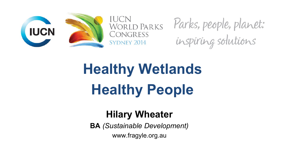



Parks, people, planet: inspiring solutions

# **Healthy Wetlands Healthy People**

#### **Hilary Wheater**

**BA** *(Sustainable Development)* www.fragyle.org.au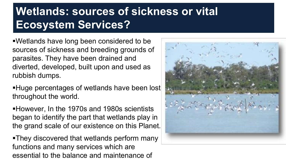#### **Wetlands: sources of sickness or vital Ecosystem Services?**

Wetlands have long been considered to be sources of sickness and breeding grounds of parasites. They have been drained and diverted, developed, built upon and used as rubbish dumps.

Huge percentages of wetlands have been lost throughout the world.

However, In the 1970s and 1980s scientists began to identify the part that wetlands play in the grand scale of our existence on this Planet.

They discovered that wetlands perform many functions and many services which are essential to the balance and maintenance of

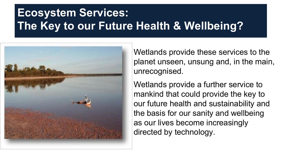#### **Ecosystem Services: The Key to our Future Health & Wellbeing?**



Wetlands provide these services to the planet unseen, unsung and, in the main, unrecognised.

Wetlands provide a further service to mankind that could provide the key to our future health and sustainability and the basis for our sanity and wellbeing as our lives become increasingly directed by technology.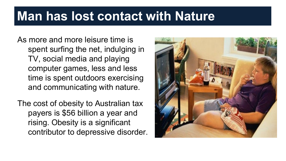### **Man has lost contact with Nature**

As more and more leisure time is spent surfing the net, indulging in TV, social media and playing computer games, less and less time is spent outdoors exercising and communicating with nature.

The cost of obesity to Australian tax payers is \$56 billion a year and rising. Obesity is a significant contributor to depressive disorder.

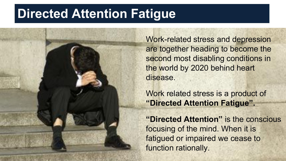### **Directed Attention Fatigue**

Work-related stress and depression are together heading to become the second most disabling conditions in the world by 2020 behind heart disease.

Work related stress is a product of **"Directed Attention Fatigue".**

**"Directed Attention"** is the conscious focusing of the mind. When it is fatigued or impaired we cease to function rationally.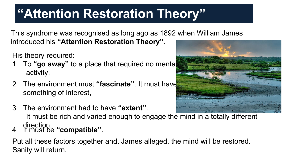## **"Attention Restoration Theory"**

This syndrome was recognised as long ago as 1892 when William James

introduced his **"Attention Restoration Theory"**.

His theory required:

- 1 To **"go away"** to a place that required no mental activity,
- 2 The environment must **"fascinate"**. It must have something of interest,
- 3 The environment had to have **"extent"**. It must be rich and varied enough to engage the mind in a totally different
- direction, <sup>4</sup> It must be **"compatible"**.

Put all these factors together and, James alleged, the mind will be restored. Sanity will return.

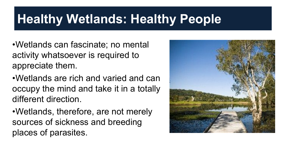### **Healthy Wetlands: Healthy People**

•Wetlands can fascinate; no mental activity whatsoever is required to appreciate them.

•Wetlands are rich and varied and can occupy the mind and take it in a totally different direction.

•Wetlands, therefore, are not merely sources of sickness and breeding places of parasites.